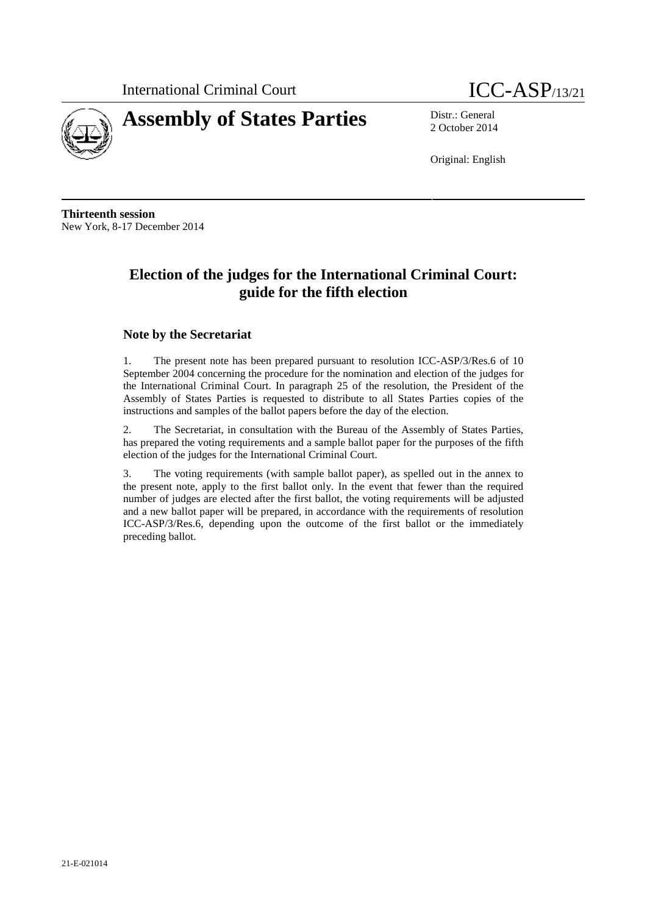



2 October 2014

Original: English

**Thirteenth session** New York, 8-17 December 2014

### **Election of the judges for the International Criminal Court: guide for the fifth election**

#### **Note by the Secretariat**

1. The present note has been prepared pursuant to resolution ICC-ASP/3/Res.6 of 10 September 2004 concerning the procedure for the nomination and election of the judges for the International Criminal Court. In paragraph 25 of the resolution, the President of the Assembly of States Parties is requested to distribute to all States Parties copies of the instructions and samples of the ballot papers before the day of the election.

2. The Secretariat, in consultation with the Bureau of the Assembly of States Parties, has prepared the voting requirements and a sample ballot paper for the purposes of the fifth election of the judges for the International Criminal Court.

3. The voting requirements (with sample ballot paper), as spelled out in the annex to the present note, apply to the first ballot only. In the event that fewer than the required number of judges are elected after the first ballot, the voting requirements will be adjusted and a new ballot paper will be prepared, in accordance with the requirements of resolution ICC-ASP/3/Res.6, depending upon the outcome of the first ballot or the immediately preceding ballot.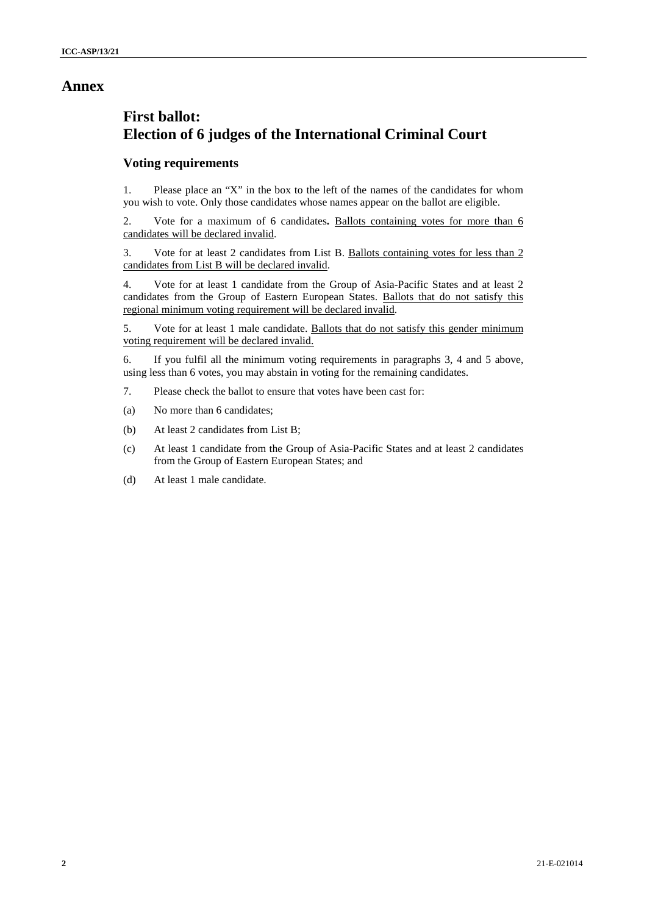### **Annex**

## **First ballot: Election of 6 judges of the International Criminal Court**

#### **Voting requirements**

1. Please place an "X" in the box to the left of the names of the candidates for whom you wish to vote. Only those candidates whose names appear on the ballot are eligible.

2. Vote for a maximum of 6 candidates**.** Ballots containing votes for more than 6 candidates will be declared invalid.

3. Vote for at least 2 candidates from List B. Ballots containing votes for less than 2 candidates from List B will be declared invalid.

4. Vote for at least 1 candidate from the Group of Asia-Pacific States and at least 2 candidates from the Group of Eastern European States. Ballots that do not satisfy this regional minimum voting requirement will be declared invalid.

5. Vote for at least 1 male candidate. Ballots that do not satisfy this gender minimum voting requirement will be declared invalid.

6. If you fulfil all the minimum voting requirements in paragraphs 3, 4 and 5 above, using less than 6 votes, you may abstain in voting for the remaining candidates.

- 7. Please check the ballot to ensure that votes have been cast for:
- (a) No more than 6 candidates;
- (b) At least 2 candidates from List B;
- (c) At least 1 candidate from the Group of Asia-Pacific States and at least 2 candidates from the Group of Eastern European States; and
- (d) At least 1 male candidate.